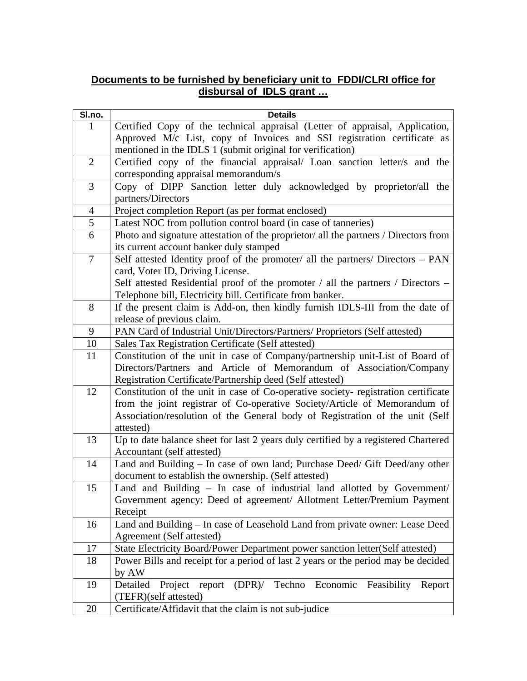# **Documents to be furnished by beneficiary unit to FDDI/CLRI office for disbursal of IDLS grant …**

| SI.no.         | <b>Details</b>                                                                         |
|----------------|----------------------------------------------------------------------------------------|
| 1              | Certified Copy of the technical appraisal (Letter of appraisal, Application,           |
|                | Approved M/c List, copy of Invoices and SSI registration certificate as                |
|                | mentioned in the IDLS 1 (submit original for verification)                             |
| $\overline{2}$ | Certified copy of the financial appraisal/ Loan sanction letter/s and the              |
|                | corresponding appraisal memorandum/s                                                   |
| 3              | Copy of DIPP Sanction letter duly acknowledged by proprietor/all the                   |
|                | partners/Directors                                                                     |
| $\overline{4}$ | Project completion Report (as per format enclosed)                                     |
| $\mathfrak{S}$ | Latest NOC from pollution control board (in case of tanneries)                         |
| 6              | Photo and signature attestation of the proprietor/ all the partners / Directors from   |
|                | its current account banker duly stamped                                                |
| $\tau$         | Self attested Identity proof of the promoter/ all the partners/ Directors – PAN        |
|                | card, Voter ID, Driving License.                                                       |
|                | Self attested Residential proof of the promoter / all the partners / Directors –       |
|                | Telephone bill, Electricity bill. Certificate from banker.                             |
| 8              | If the present claim is Add-on, then kindly furnish IDLS-III from the date of          |
|                | release of previous claim.                                                             |
| 9              | PAN Card of Industrial Unit/Directors/Partners/ Proprietors (Self attested)            |
| 10             | Sales Tax Registration Certificate (Self attested)                                     |
| 11             | Constitution of the unit in case of Company/partnership unit-List of Board of          |
|                | Directors/Partners and Article of Memorandum of Association/Company                    |
|                | Registration Certificate/Partnership deed (Self attested)                              |
| 12             | Constitution of the unit in case of Co-operative society- registration certificate     |
|                | from the joint registrar of Co-operative Society/Article of Memorandum of              |
|                | Association/resolution of the General body of Registration of the unit (Self           |
|                | attested)                                                                              |
| 13             | Up to date balance sheet for last 2 years duly certified by a registered Chartered     |
|                | Accountant (self attested)                                                             |
| 14             | Land and Building - In case of own land; Purchase Deed/ Gift Deed/any other            |
|                | document to establish the ownership. (Self attested)                                   |
| 15             | Land and Building - In case of industrial land allotted by Government/                 |
|                | Government agency: Deed of agreement/ Allotment Letter/Premium Payment                 |
|                | Receipt                                                                                |
| 16             | Land and Building - In case of Leasehold Land from private owner: Lease Deed           |
|                | Agreement (Self attested)                                                              |
| 17             | State Electricity Board/Power Department power sanction letter(Self attested)          |
| 18             | Power Bills and receipt for a period of last 2 years or the period may be decided      |
|                | by AW                                                                                  |
| 19             | $(DPR)$ /<br>Techno Economic<br>Detailed<br>report<br>Feasibility<br>Project<br>Report |
|                | (TEFR)(self attested)                                                                  |
| 20             | Certificate/Affidavit that the claim is not sub-judice                                 |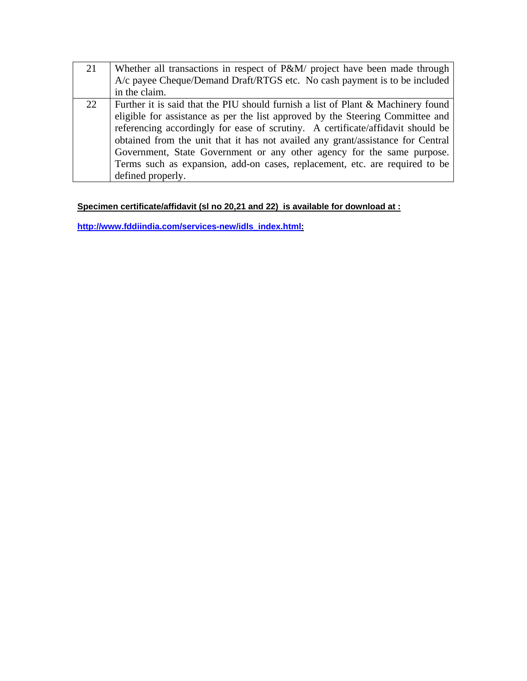| 21 | Whether all transactions in respect of P&M/ project have been made through       |
|----|----------------------------------------------------------------------------------|
|    | A/c payee Cheque/Demand Draft/RTGS etc. No cash payment is to be included        |
|    | in the claim.                                                                    |
| 22 | Further it is said that the PIU should furnish a list of Plant & Machinery found |
|    | eligible for assistance as per the list approved by the Steering Committee and   |
|    | referencing accordingly for ease of scrutiny. A certificate/affidavit should be  |
|    | obtained from the unit that it has not availed any grant/assistance for Central  |
|    | Government, State Government or any other agency for the same purpose.           |
|    | Terms such as expansion, add-on cases, replacement, etc. are required to be      |
|    | defined properly.                                                                |

# **Specimen certificate/affidavit (sl no 20,21 and 22) is available for download at :**

**http://www.fddiindia.com/services-new/idls\_index.html:**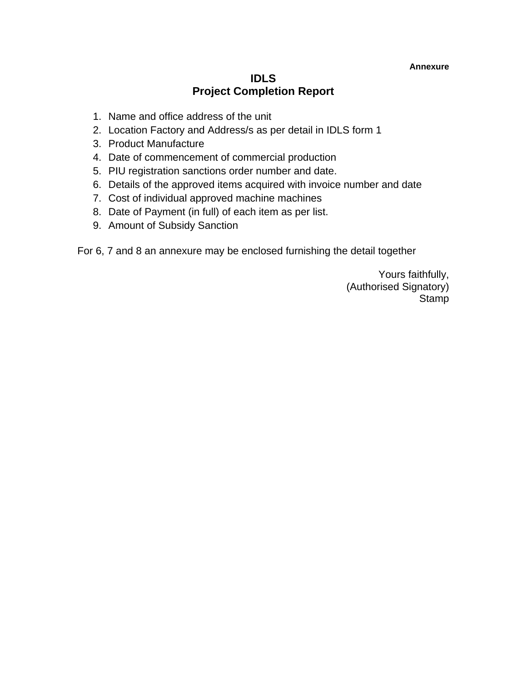### **Annexure**

# **IDLS Project Completion Report**

- 1. Name and office address of the unit
- 2. Location Factory and Address/s as per detail in IDLS form 1
- 3. Product Manufacture
- 4. Date of commencement of commercial production
- 5. PIU registration sanctions order number and date.
- 6. Details of the approved items acquired with invoice number and date
- 7. Cost of individual approved machine machines
- 8. Date of Payment (in full) of each item as per list.
- 9. Amount of Subsidy Sanction

For 6, 7 and 8 an annexure may be enclosed furnishing the detail together

Yours faithfully, (Authorised Signatory) **Stamp**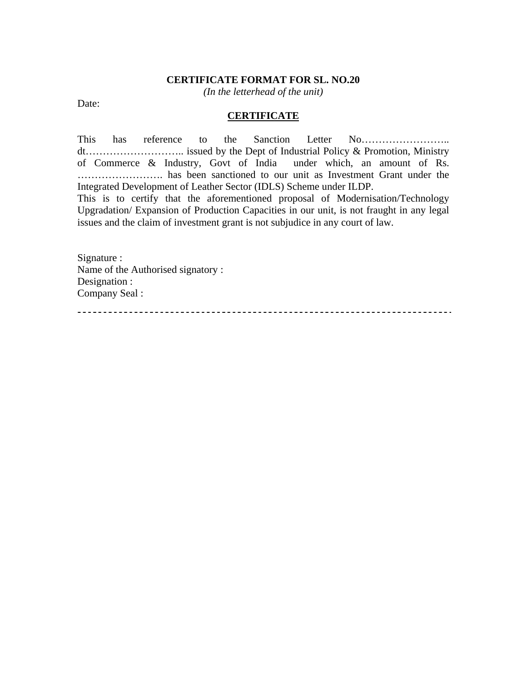### **CERTIFICATE FORMAT FOR SL. NO.20**

*(In the letterhead of the unit)* 

Date:

## **CERTIFICATE**

This has reference to the Sanction Letter No…………………….. dt……………………….. issued by the Dept of Industrial Policy & Promotion, Ministry of Commerce & Industry, Govt of India under which, an amount of Rs. ……………………. has been sanctioned to our unit as Investment Grant under the Integrated Development of Leather Sector (IDLS) Scheme under ILDP.

This is to certify that the aforementioned proposal of Modernisation/Technology Upgradation/ Expansion of Production Capacities in our unit, is not fraught in any legal issues and the claim of investment grant is not subjudice in any court of law.

Signature : Name of the Authorised signatory : Designation : Company Seal :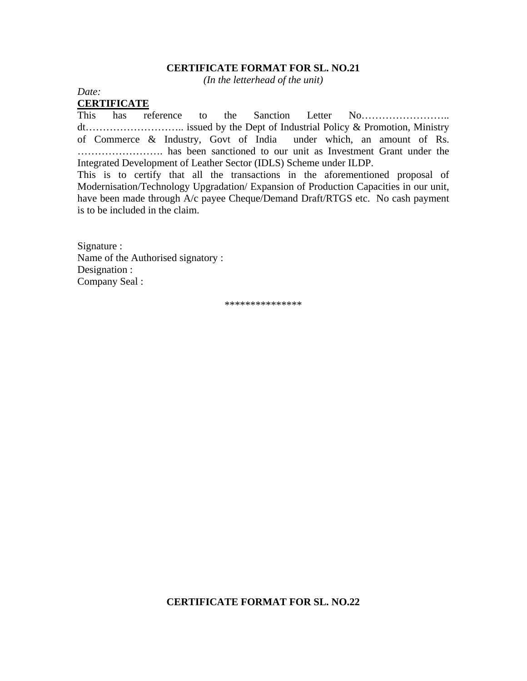### **CERTIFICATE FORMAT FOR SL. NO.21**

*(In the letterhead of the unit)* 

*Date:*  **CERTIFICATE**

This has reference to the Sanction Letter No…………………….. dt……………………….. issued by the Dept of Industrial Policy & Promotion, Ministry of Commerce & Industry, Govt of India under which, an amount of Rs. ……………………. has been sanctioned to our unit as Investment Grant under the Integrated Development of Leather Sector (IDLS) Scheme under ILDP.

This is to certify that all the transactions in the aforementioned proposal of Modernisation/Technology Upgradation/ Expansion of Production Capacities in our unit, have been made through A/c payee Cheque/Demand Draft/RTGS etc. No cash payment is to be included in the claim.

Signature : Name of the Authorised signatory : Designation : Company Seal :

\*\*\*\*\*\*\*\*\*\*\*\*\*\*\*